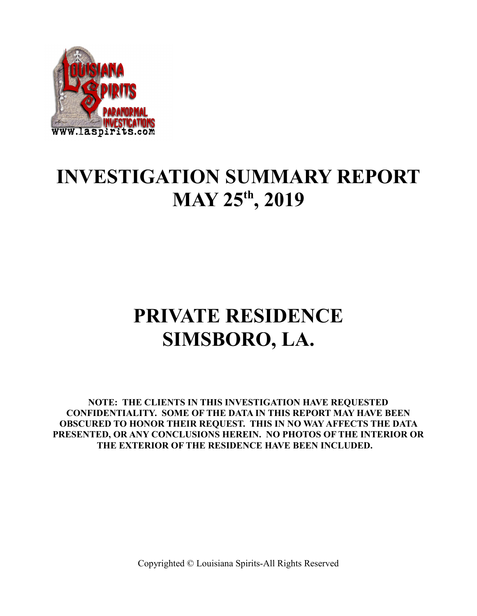

### **INVESTIGATION SUMMARY REPORT MAY 25th, 2019**

## **PRIVATE RESIDENCE SIMSBORO, LA.**

**NOTE: THE CLIENTS IN THIS INVESTIGATION HAVE REQUESTED CONFIDENTIALITY. SOME OF THE DATA IN THIS REPORT MAY HAVE BEEN OBSCURED TO HONOR THEIR REQUEST. THIS IN NO WAY AFFECTS THE DATA PRESENTED, OR ANY CONCLUSIONS HEREIN. NO PHOTOS OF THE INTERIOR OR THE EXTERIOR OF THE RESIDENCE HAVE BEEN INCLUDED.**

Copyrighted © Louisiana Spirits-All Rights Reserved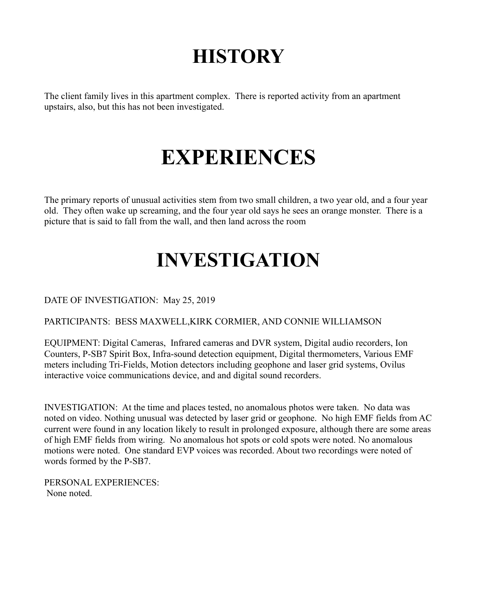# **HISTORY**

The client family lives in this apartment complex. There is reported activity from an apartment upstairs, also, but this has not been investigated.

## **EXPERIENCES**

The primary reports of unusual activities stem from two small children, a two year old, and a four year old. They often wake up screaming, and the four year old says he sees an orange monster. There is a picture that is said to fall from the wall, and then land across the room

## **INVESTIGATION**

DATE OF INVESTIGATION: May 25, 2019

PARTICIPANTS: BESS MAXWELL,KIRK CORMIER, AND CONNIE WILLIAMSON

EQUIPMENT: Digital Cameras, Infrared cameras and DVR system, Digital audio recorders, Ion Counters, P-SB7 Spirit Box, Infra-sound detection equipment, Digital thermometers, Various EMF meters including Tri-Fields, Motion detectors including geophone and laser grid systems, Ovilus interactive voice communications device, and and digital sound recorders.

INVESTIGATION: At the time and places tested, no anomalous photos were taken. No data was noted on video. Nothing unusual was detected by laser grid or geophone. No high EMF fields from AC current were found in any location likely to result in prolonged exposure, although there are some areas of high EMF fields from wiring. No anomalous hot spots or cold spots were noted. No anomalous motions were noted. One standard EVP voices was recorded. About two recordings were noted of words formed by the P-SB7.

PERSONAL EXPERIENCES: None noted.